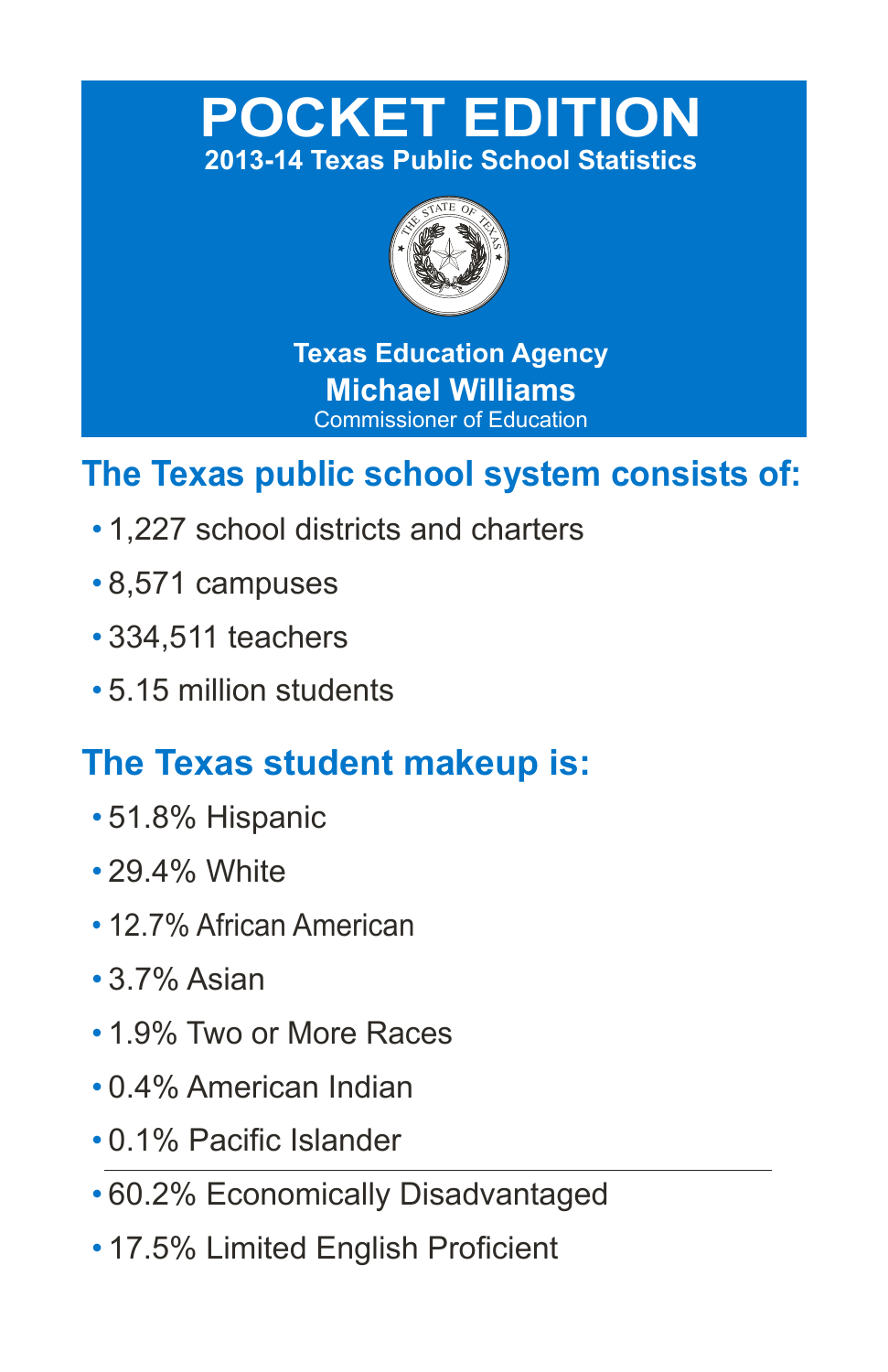# **POCKET EDITION 2013-14 Texas Public School Statistics**



**Texas Education Agency Michael Williams** Commissioner of Education

# **The Texas public school system consists of:**

- 1,227 school districts and charters
- 8,571 campuses
- 334,511 teachers
- 5.15 million students

# **The Texas student makeup is:**

- 51.8% Hispanic
- 29.4% White
- 12.7% African American
- 3.7% Asian
- 1.9% Two or More Races
- 0.4% American Indian
- 0.1% Pacific Islander
- 60.2% Economically Disadvantaged
- 17.5% Limited English Proficient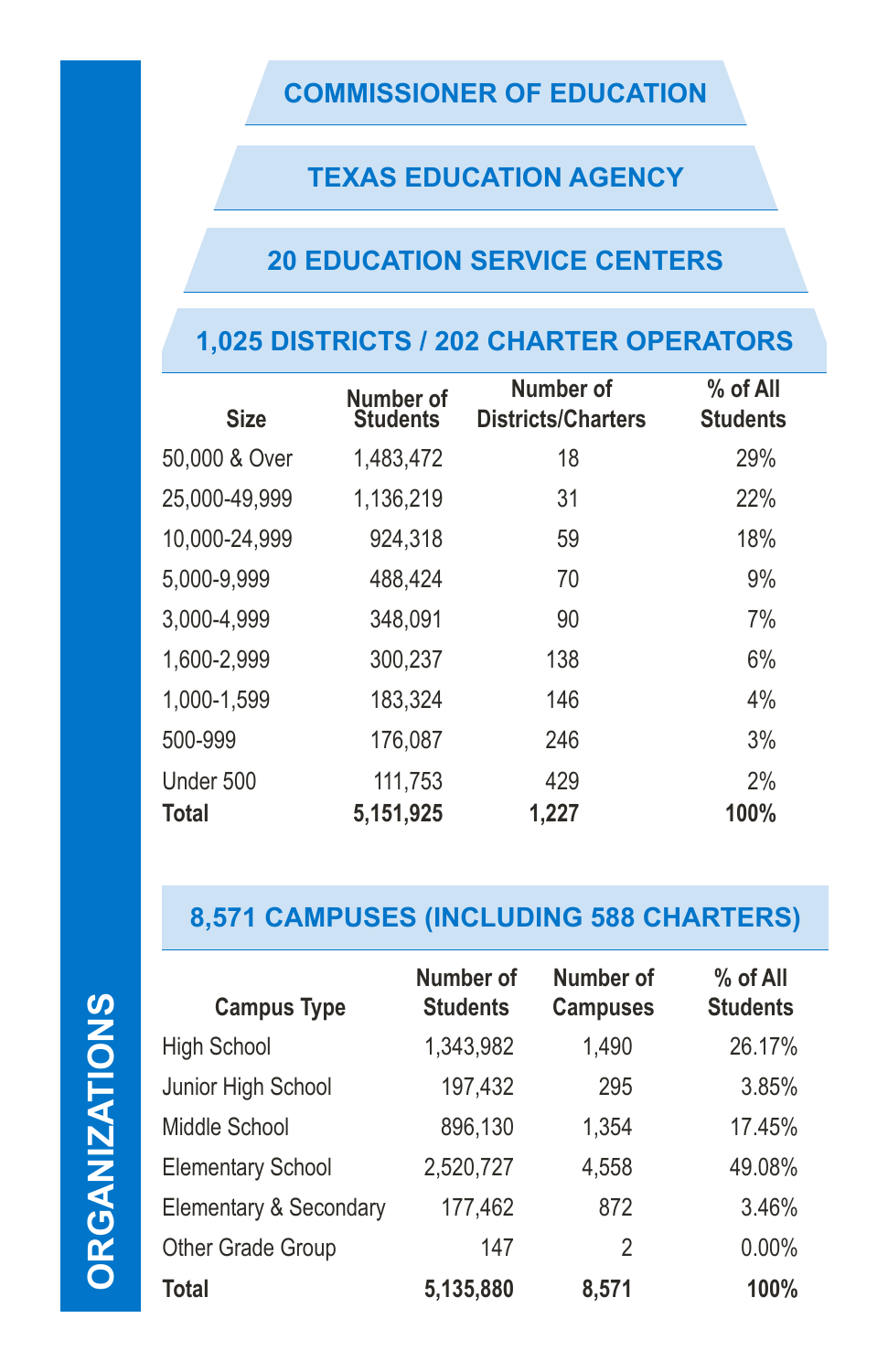## **COMMISSIONER OF EDUCATION**

## **TEXAS EDUCATION AGENCY**

# **20 EDUCATION SERVICE CENTERS**

# **1,025 DISTRICTS / 202 CHARTER OPERATORS**

| <b>Size</b>   | Number of<br><b>Students</b> | Number of<br><b>Districts/Charters</b> | % of All<br><b>Students</b> |
|---------------|------------------------------|----------------------------------------|-----------------------------|
| 50,000 & Over | 1,483,472                    | 18                                     | 29%                         |
| 25,000-49,999 | 1,136,219                    | 31                                     | 22%                         |
| 10,000-24,999 | 924,318                      | 59                                     | 18%                         |
| 5,000-9,999   | 488,424                      | 70                                     | 9%                          |
| 3,000-4,999   | 348,091                      | 90                                     | 7%                          |
| 1,600-2,999   | 300,237                      | 138                                    | 6%                          |
| 1,000-1,599   | 183,324                      | 146                                    | 4%                          |
| 500-999       | 176,087                      | 246                                    | 3%                          |
| Under 500     | 111,753                      | 429                                    | 2%                          |
| <b>Total</b>  | 5,151,925                    | 1,227                                  | 100%                        |

# **8,571 CAMPUSES (INCLUDING 588 CHARTERS)**

**ORGANIZATIONS ORGANIZATIONS**

| <b>Campus Type</b>       | Number of<br><b>Students</b> | Number of<br><b>Campuses</b> | % of All<br><b>Students</b> |
|--------------------------|------------------------------|------------------------------|-----------------------------|
| <b>High School</b>       | 1,343,982                    | 1,490                        | 26.17%                      |
| Junior High School       | 197,432                      | 295                          | 3.85%                       |
| Middle School            | 896,130                      | 1,354                        | 17.45%                      |
| <b>Elementary School</b> | 2,520,727                    | 4,558                        | 49.08%                      |
| Elementary & Secondary   | 177,462                      | 872                          | 3.46%                       |
| Other Grade Group        | 147                          | 2                            | 0.00%                       |
| <b>Total</b>             | 5,135,880                    | 8,571                        | 100%                        |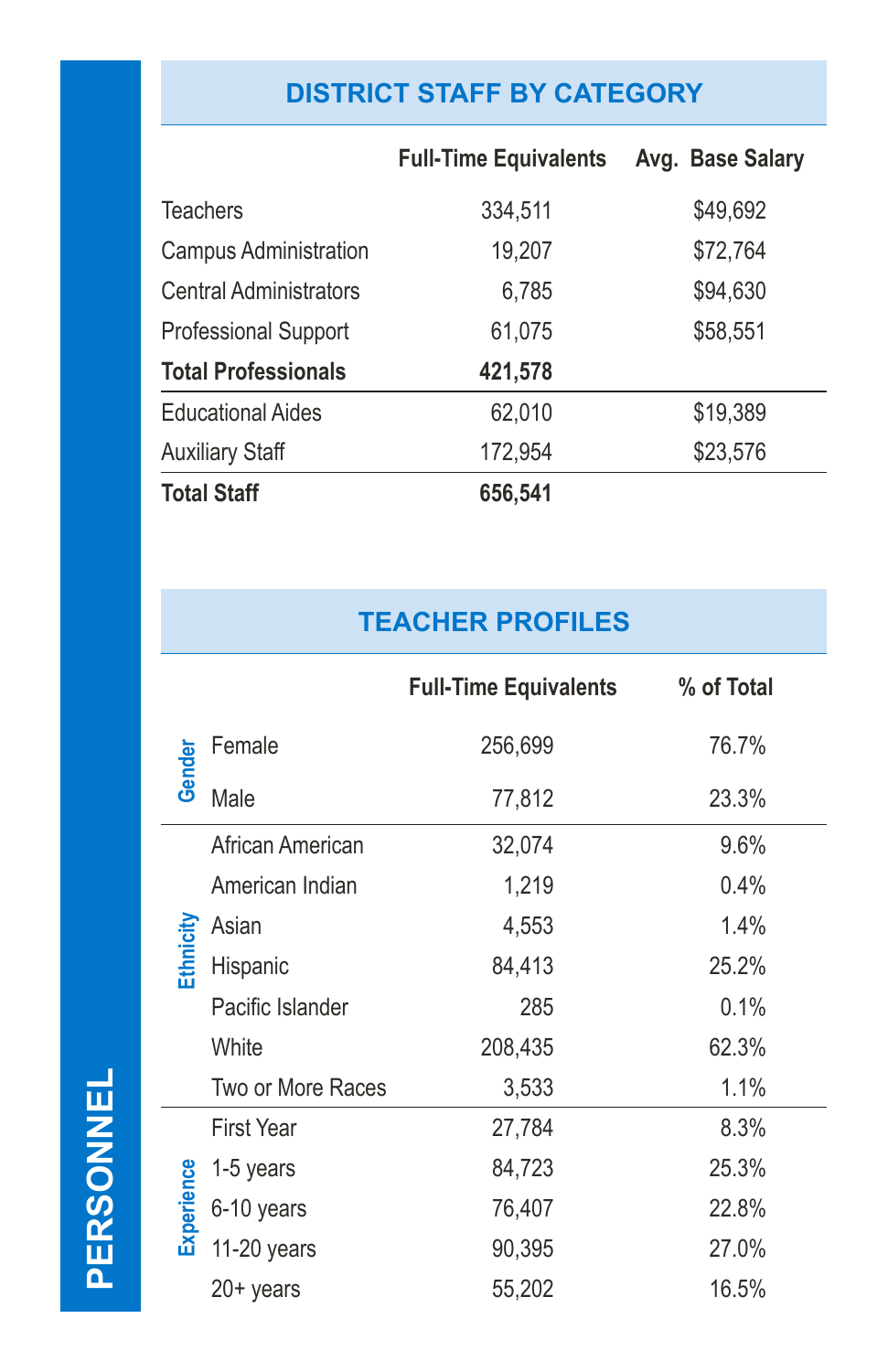# **DISTRICT STAFF BY CATEGORY**

|                               | <b>Full-Time Equivalents</b> | Avg. Base Salary |
|-------------------------------|------------------------------|------------------|
| <b>Teachers</b>               | 334,511                      | \$49,692         |
| <b>Campus Administration</b>  | 19,207                       | \$72,764         |
| <b>Central Administrators</b> | 6,785                        | \$94,630         |
| <b>Professional Support</b>   | 61,075                       | \$58,551         |
| <b>Total Professionals</b>    | 421,578                      |                  |
| <b>Educational Aides</b>      | 62,010                       | \$19,389         |
| <b>Auxiliary Staff</b>        | 172,954                      | \$23,576         |
| <b>Total Staff</b>            | 656,541                      |                  |

# **TEACHER PROFILES**

|            |                   | <b>Full-Time Equivalents</b> | % of Total |  |
|------------|-------------------|------------------------------|------------|--|
|            | Female            | 256,699                      | 76.7%      |  |
| Gender     | Male              | 77,812                       | 23.3%      |  |
|            | African American  | 32,074                       | 9.6%       |  |
|            | American Indian   | 1,219                        | 0.4%       |  |
|            | Asian             | 4,553                        | 1.4%       |  |
| Ethnicity  | Hispanic          | 84,413                       | 25.2%      |  |
|            | Pacific Islander  | 285                          | 0.1%       |  |
|            | White             | 208,435                      | 62.3%      |  |
|            | Two or More Races | 3,533                        | 1.1%       |  |
|            | <b>First Year</b> | 27,784                       | 8.3%       |  |
|            | 1-5 years         | 84,723                       | 25.3%      |  |
| Experience | 6-10 years        | 76,407                       | 22.8%      |  |
|            | 11-20 years       | 90,395                       | 27.0%      |  |
|            | $20+$ years       | 55,202                       | 16.5%      |  |

PERSONNEL **PERSONNEL**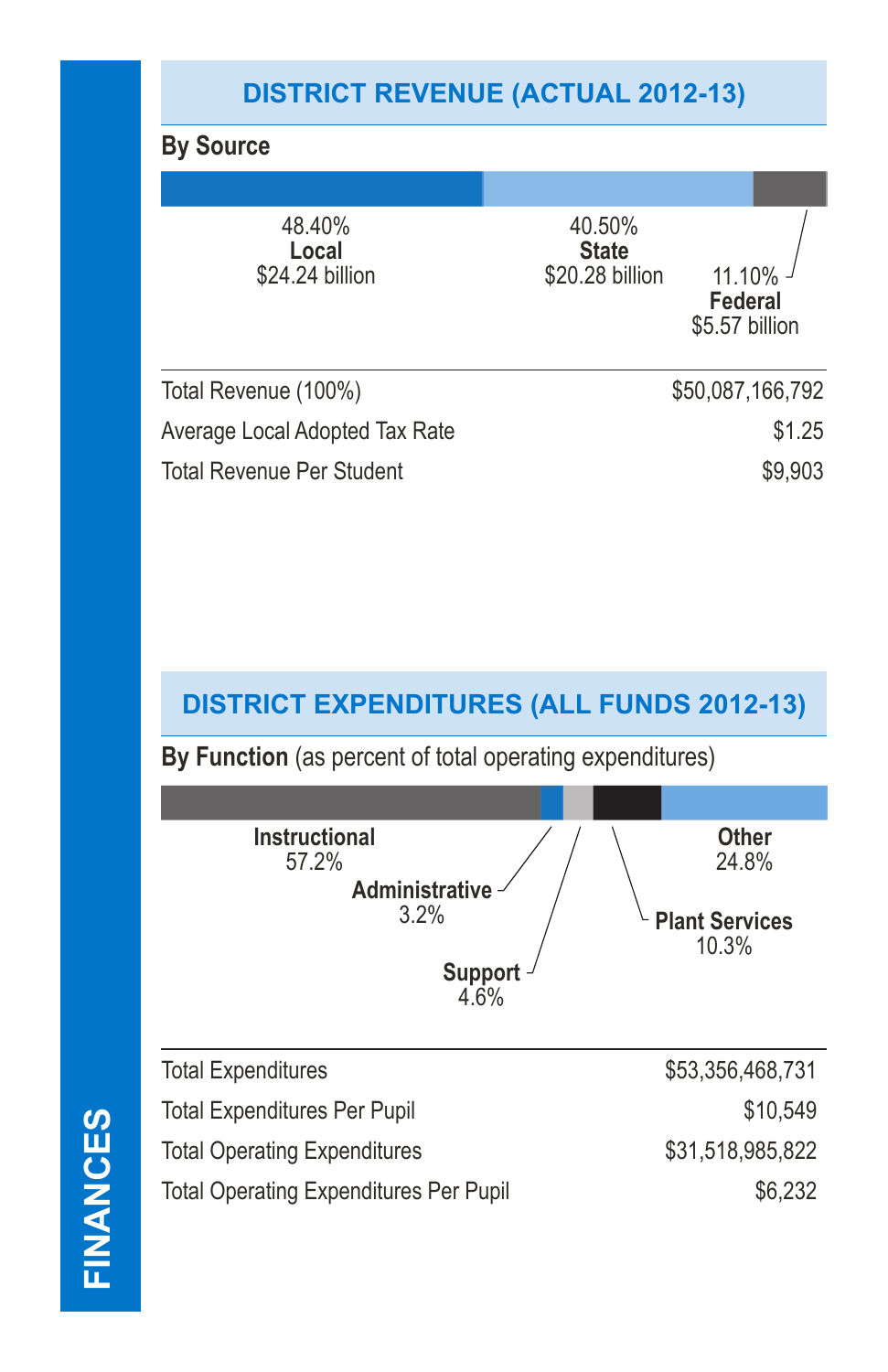# **DISTRICT REVENUE (ACTUAL 2012-13)**

## **By Source**

| 48.40%<br>Local<br>\$24.24 billion | 40.50%<br><b>State</b><br>\$20.28 billion | $11.10\%$<br><b>Federal</b><br>\$5.57 billion |
|------------------------------------|-------------------------------------------|-----------------------------------------------|
| Total Revenue (100%)               |                                           | \$50,087,166,792                              |
| Average Local Adopted Tax Rate     |                                           | \$1.25                                        |
| <b>Total Revenue Per Student</b>   |                                           | \$9,903                                       |
|                                    |                                           |                                               |

### **DISTRICT EXPENDITURES (ALL FUNDS 2012-13)**

**By Function** (as percent of total operating expenditures)



| <b>Total Expenditures</b>                     | \$53,356,468,731 |
|-----------------------------------------------|------------------|
| <b>Total Expenditures Per Pupil</b>           | \$10.549         |
| <b>Total Operating Expenditures</b>           | \$31,518,985,822 |
| <b>Total Operating Expenditures Per Pupil</b> | \$6,232          |
|                                               |                  |

FINANCES **FINANCES**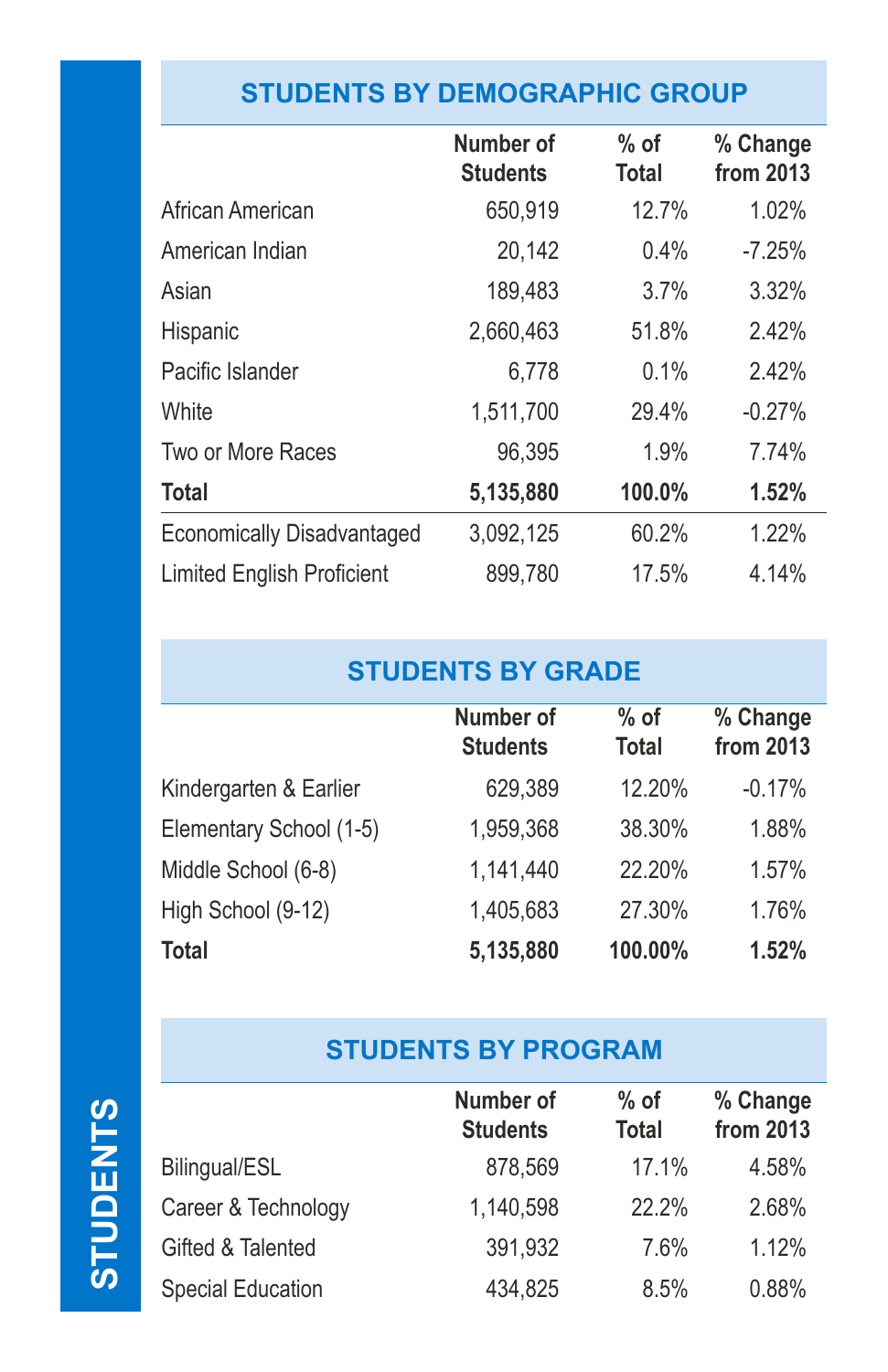# **STUDENTS BY DEMOGRAPHIC GROUP**

|                                   | Number of<br><b>Students</b> | $%$ of<br><b>Total</b> | % Change<br>from 2013 |
|-----------------------------------|------------------------------|------------------------|-----------------------|
| African American                  | 650,919                      | 12.7%                  | 1.02%                 |
| American Indian                   | 20,142                       | 0.4%                   | $-7.25%$              |
| Asian                             | 189,483                      | 3.7%                   | 3.32%                 |
| <b>Hispanic</b>                   | 2,660,463                    | 51.8%                  | 2.42%                 |
| Pacific Islander                  | 6,778                        | 0.1%                   | 2.42%                 |
| White                             | 1,511,700                    | 29.4%                  | $-0.27%$              |
| Two or More Races                 | 96,395                       | 1.9%                   | 7.74%                 |
| <b>Total</b>                      | 5,135,880                    | 100.0%                 | 1.52%                 |
| Economically Disadvantaged        | 3,092,125                    | 60.2%                  | 1.22%                 |
| <b>Limited English Proficient</b> | 899,780                      | 17.5%                  | 4.14%                 |

# **STUDENTS BY GRADE**

|                         | Number of<br><b>Students</b> | $%$ of<br><b>Total</b> | % Change<br>from 2013 |
|-------------------------|------------------------------|------------------------|-----------------------|
| Kindergarten & Earlier  | 629,389                      | 12.20%                 | $-0.17%$              |
| Elementary School (1-5) | 1,959,368                    | 38.30%                 | 1.88%                 |
| Middle School (6-8)     | 1,141,440                    | 22.20%                 | 1.57%                 |
| High School (9-12)      | 1,405,683                    | 27.30%                 | 1.76%                 |
| <b>Total</b>            | 5,135,880                    | 100.00%                | 1.52%                 |

### **STUDENTS BY PROGRAM**

**Number of**

**% of** 

**% Change**

|                          | <b>Students</b> | Total | from 2013 |
|--------------------------|-----------------|-------|-----------|
| Bilingual/ESL            | 878,569         | 17.1% | 4.58%     |
| Career & Technology      | 1,140,598       | 22.2% | 2.68%     |
| Gifted & Talented        | 391,932         | 7.6%  | 1.12%     |
| <b>Special Education</b> | 434,825         | 8.5%  | 0.88%     |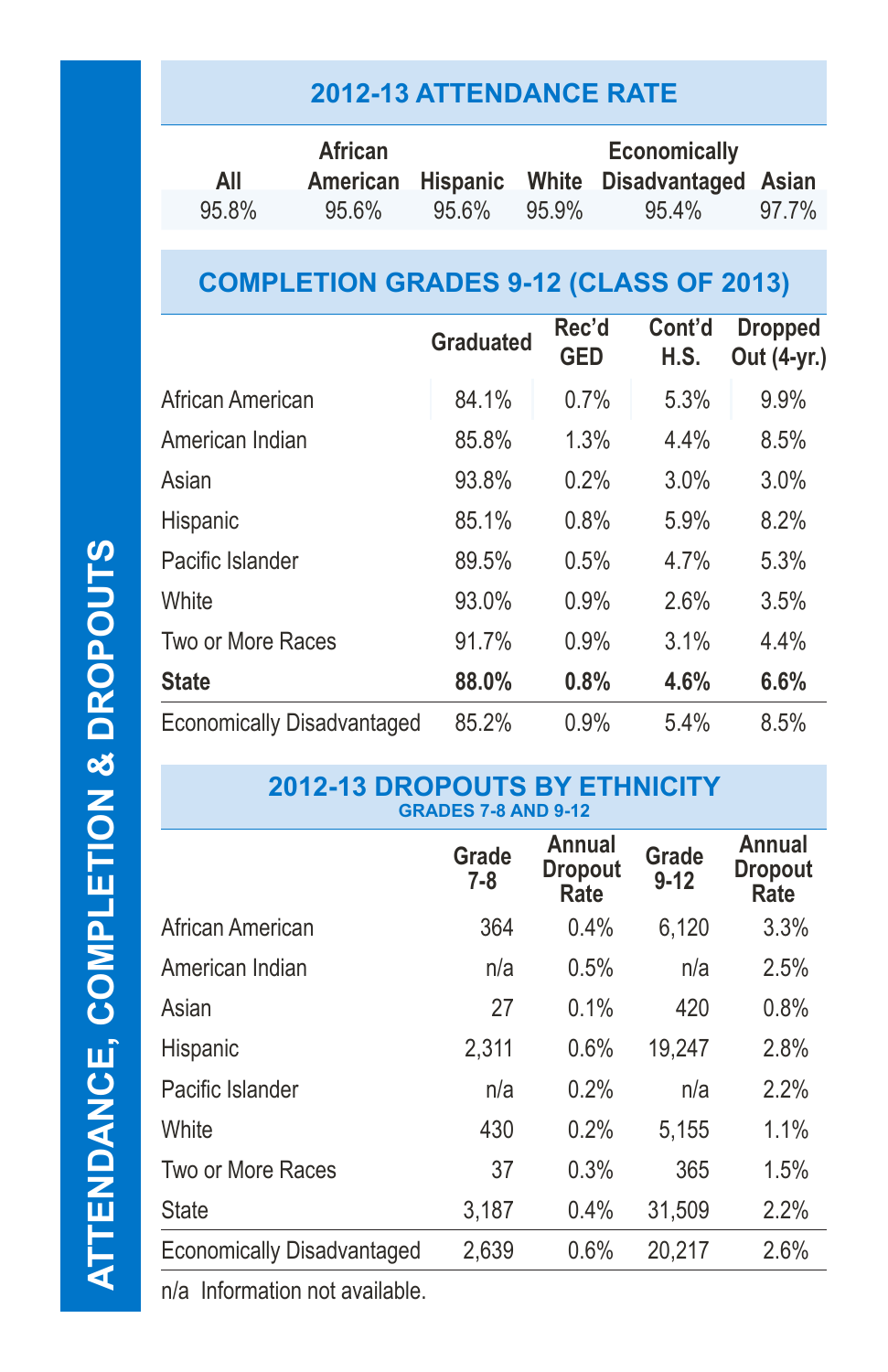## **2012-13 ATTENDANCE RATE**

|       | African  | <b>Economically</b> |       |                                             |       |
|-------|----------|---------------------|-------|---------------------------------------------|-------|
| All   |          |                     |       | American Hispanic White Disadvantaged Asian |       |
| 95.8% | $95.6\%$ | 95.6%               | 95.9% | 95.4%                                       | 97.7% |

# **COMPLETION GRADES 9-12 (CLASS OF 2013)**

|                                   | <b>Graduated</b> | Rec'd<br><b>GED</b> | Cont'd<br>H.S. | <b>Dropped</b><br>Out (4-yr.) |
|-----------------------------------|------------------|---------------------|----------------|-------------------------------|
| African American                  | 84.1%            | 0.7%                | 5.3%           | 9.9%                          |
| American Indian                   | 85.8%            | 1.3%                | 4.4%           | 8.5%                          |
| Asian                             | 93.8%            | 0.2%                | 3.0%           | 3.0%                          |
| Hispanic                          | 85.1%            | 0.8%                | 5.9%           | 8.2%                          |
| Pacific Islander                  | 89.5%            | 0.5%                | 4.7%           | 5.3%                          |
| White                             | 93.0%            | 0.9%                | 2.6%           | 3.5%                          |
| Two or More Races                 | 91.7%            | 0.9%                | 3.1%           | 4.4%                          |
| <b>State</b>                      | 88.0%            | 0.8%                | 4.6%           | 6.6%                          |
| <b>Economically Disadvantaged</b> | 85.2%            | 0.9%                | 5.4%           | 8.5%                          |

#### **2012-13 DROPOUTS BY ETHNICITY GRADES 7-8 AND 9-12**

|                                   | Grade<br>$7 - 8$ | Annual<br><b>Dropout</b><br>Rate | Grade<br>$9 - 12$ | Annual<br><b>Dropout</b><br>Rate |
|-----------------------------------|------------------|----------------------------------|-------------------|----------------------------------|
| African American                  | 364              | 0.4%                             | 6,120             | 3.3%                             |
| American Indian                   | n/a              | 0.5%                             | n/a               | 2.5%                             |
| Asian                             | 27               | 0.1%                             | 420               | 0.8%                             |
| Hispanic                          | 2,311            | 0.6%                             | 19,247            | 2.8%                             |
| Pacific Islander                  | n/a              | 0.2%                             | n/a               | 2.2%                             |
| White                             | 430              | 0.2%                             | 5,155             | 1.1%                             |
| Two or More Races                 | 37               | 0.3%                             | 365               | 1.5%                             |
| <b>State</b>                      | 3,187            | 0.4%                             | 31,509            | 2.2%                             |
| <b>Economically Disadvantaged</b> | 2,639            | 0.6%                             | 20,217            | 2.6%                             |

n/a Information not available.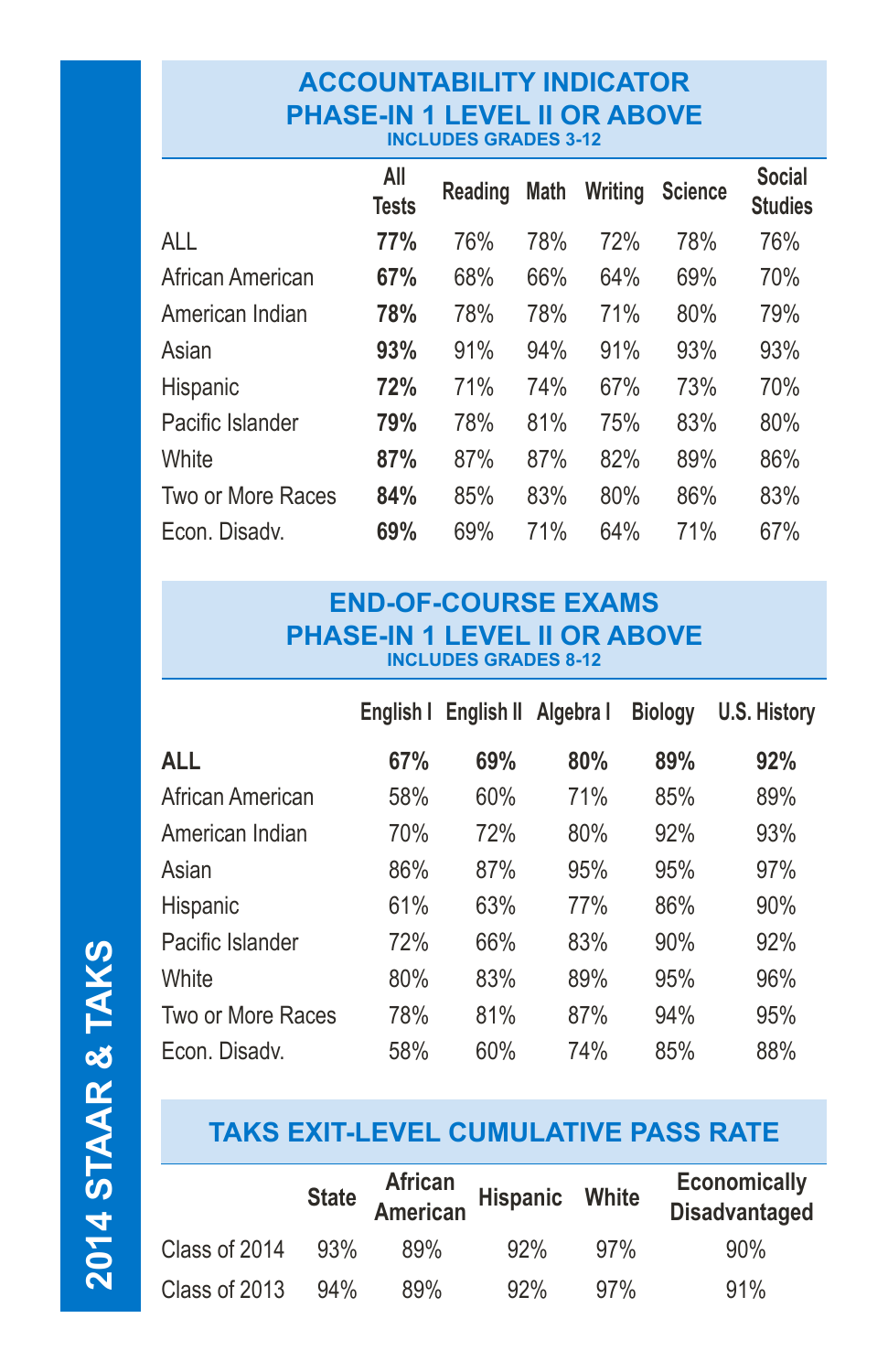#### **ACCOUNTABILITY INDICATOR PHASE-IN 1 LEVEL II OR ABOVE INCLUDES GRADES 3-12**

|                   | All<br><b>Tests</b> | Reading | <b>Math</b> | Writing | <b>Science</b> | <b>Social</b><br><b>Studies</b> |
|-------------------|---------------------|---------|-------------|---------|----------------|---------------------------------|
| ALL               | 77%                 | 76%     | 78%         | 72%     | 78%            | 76%                             |
| African American  | 67%                 | 68%     | 66%         | 64%     | 69%            | 70%                             |
| American Indian   | 78%                 | 78%     | 78%         | 71%     | 80%            | 79%                             |
| Asian             | 93%                 | 91%     | 94%         | 91%     | 93%            | 93%                             |
| Hispanic          | 72%                 | 71%     | 74%         | 67%     | 73%            | 70%                             |
| Pacific Islander  | 79%                 | 78%     | 81%         | 75%     | 83%            | 80%                             |
| White             | 87%                 | 87%     | 87%         | 82%     | 89%            | 86%                             |
| Two or More Races | 84%                 | 85%     | 83%         | 80%     | 86%            | 83%                             |
| Econ. Disady.     | 69%                 | 69%     | 71%         | 64%     | 71%            | 67%                             |

#### **END-OF-COURSE EXAMS PHASE-IN 1 LEVEL II OR ABOVE INCLUDES GRADES 8-12**

|                   |     | English   English    Algebra |     | <b>Biology</b> | U.S. History |
|-------------------|-----|------------------------------|-----|----------------|--------------|
| ALL               | 67% | 69%                          | 80% | 89%            | 92%          |
| African American  | 58% | 60%                          | 71% | 85%            | 89%          |
| American Indian   | 70% | 72%                          | 80% | 92%            | 93%          |
| Asian             | 86% | 87%                          | 95% | 95%            | 97%          |
| Hispanic          | 61% | 63%                          | 77% | 86%            | 90%          |
| Pacific Islander  | 72% | 66%                          | 83% | 90%            | 92%          |
| White             | 80% | 83%                          | 89% | 95%            | 96%          |
| Two or More Races | 78% | 81%                          | 87% | 94%            | 95%          |
| Econ. Disady.     | 58% | 60%                          | 74% | 85%            | 88%          |

## **TAKS EXIT-LEVEL CUMULATIVE PASS RATE**

|               |     | State African<br>American | Hispanic White |     | <b>Economically</b><br><b>Disadvantaged</b> |
|---------------|-----|---------------------------|----------------|-----|---------------------------------------------|
| Class of 2014 | 93% | 89%                       | 92%            | 97% | 90%                                         |
| Class of 2013 | 94% | 89%                       | 92%            | 97% | 91%                                         |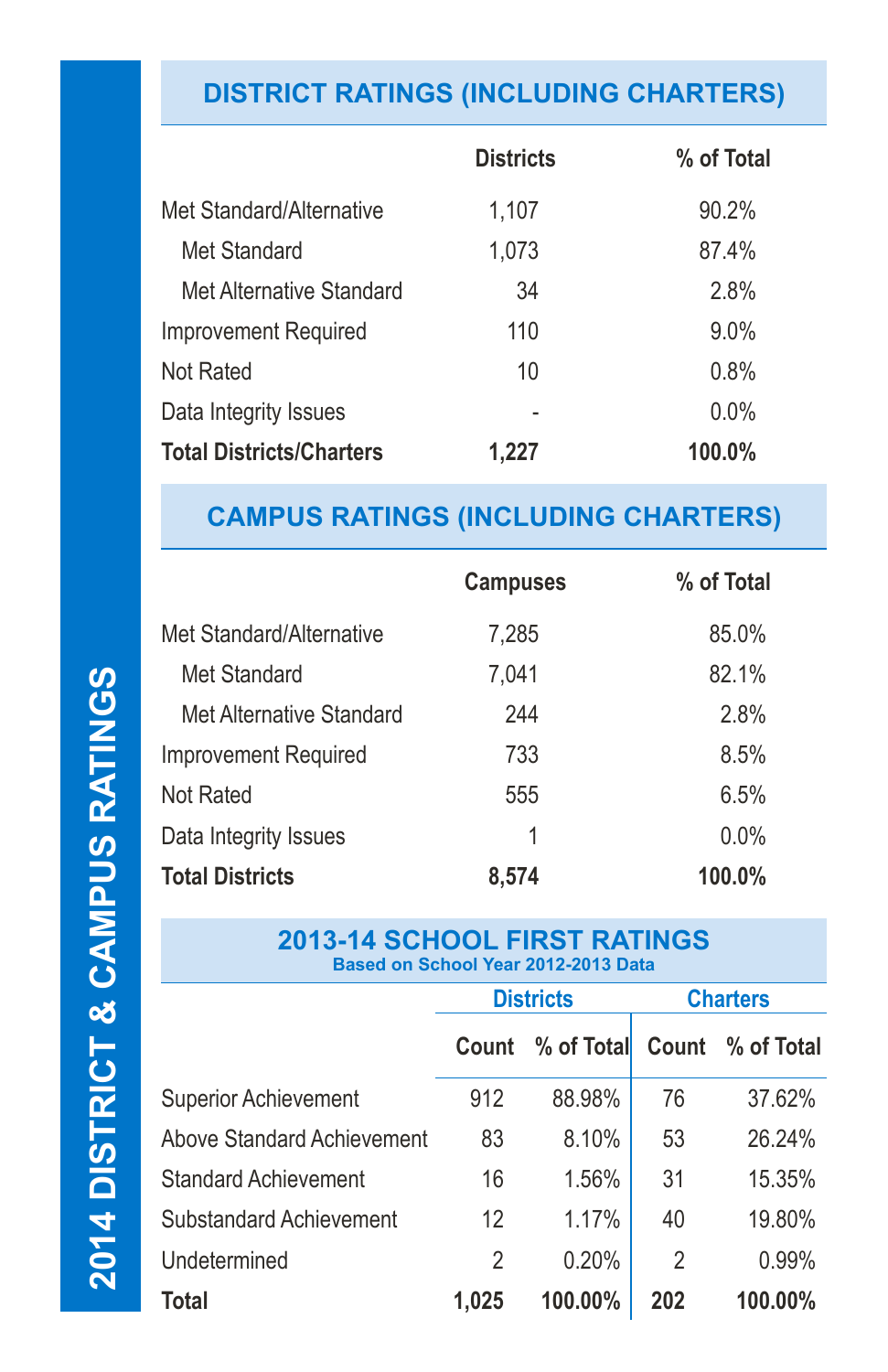# **DISTRICT RATINGS (INCLUDING CHARTERS)**

|                                 | <b>Districts</b> | % of Total |
|---------------------------------|------------------|------------|
| Met Standard/Alternative        | 1,107            | 90.2%      |
| Met Standard                    | 1,073            | 87.4%      |
| Met Alternative Standard        | 34               | 2.8%       |
| <b>Improvement Required</b>     | 110              | $9.0\%$    |
| Not Rated                       | 10               | 0.8%       |
| Data Integrity Issues           |                  | 0.0%       |
| <b>Total Districts/Charters</b> | 1.227            | 100.0%     |

### **CAMPUS RATINGS (INCLUDING CHARTERS)**

|                             | <b>Campuses</b> | % of Total |
|-----------------------------|-----------------|------------|
| Met Standard/Alternative    | 7,285           | 85.0%      |
| Met Standard                | 7,041           | 82.1%      |
| Met Alternative Standard    | 244             | 2.8%       |
| <b>Improvement Required</b> | 733             | 8.5%       |
| Not Rated                   | 555             | 6.5%       |
| Data Integrity Issues       | 1               | 0.0%       |
| <b>Total Districts</b>      | 8,574           | 100.0%     |

#### **2013-14 SCHOOL FIRST RATINGS Based on School Year 2012-2013 Data**

|                                   | <b>Districts</b> |                  | <b>Charters</b> |                  |
|-----------------------------------|------------------|------------------|-----------------|------------------|
|                                   |                  | Count % of Total |                 | Count % of Total |
| <b>Superior Achievement</b>       | 912              | 88.98%           | 76              | 37.62%           |
| <b>Above Standard Achievement</b> | 83               | 8.10%            | 53              | 26.24%           |
| <b>Standard Achievement</b>       | 16               | 1.56%            | 31              | 15.35%           |
| <b>Substandard Achievement</b>    | 12               | 1.17%            | 40              | 19.80%           |
| Undetermined                      | 2                | 0.20%            | 2               | 0.99%            |
| Total                             | 1,025            | 100.00%          | 202             | 100.00%          |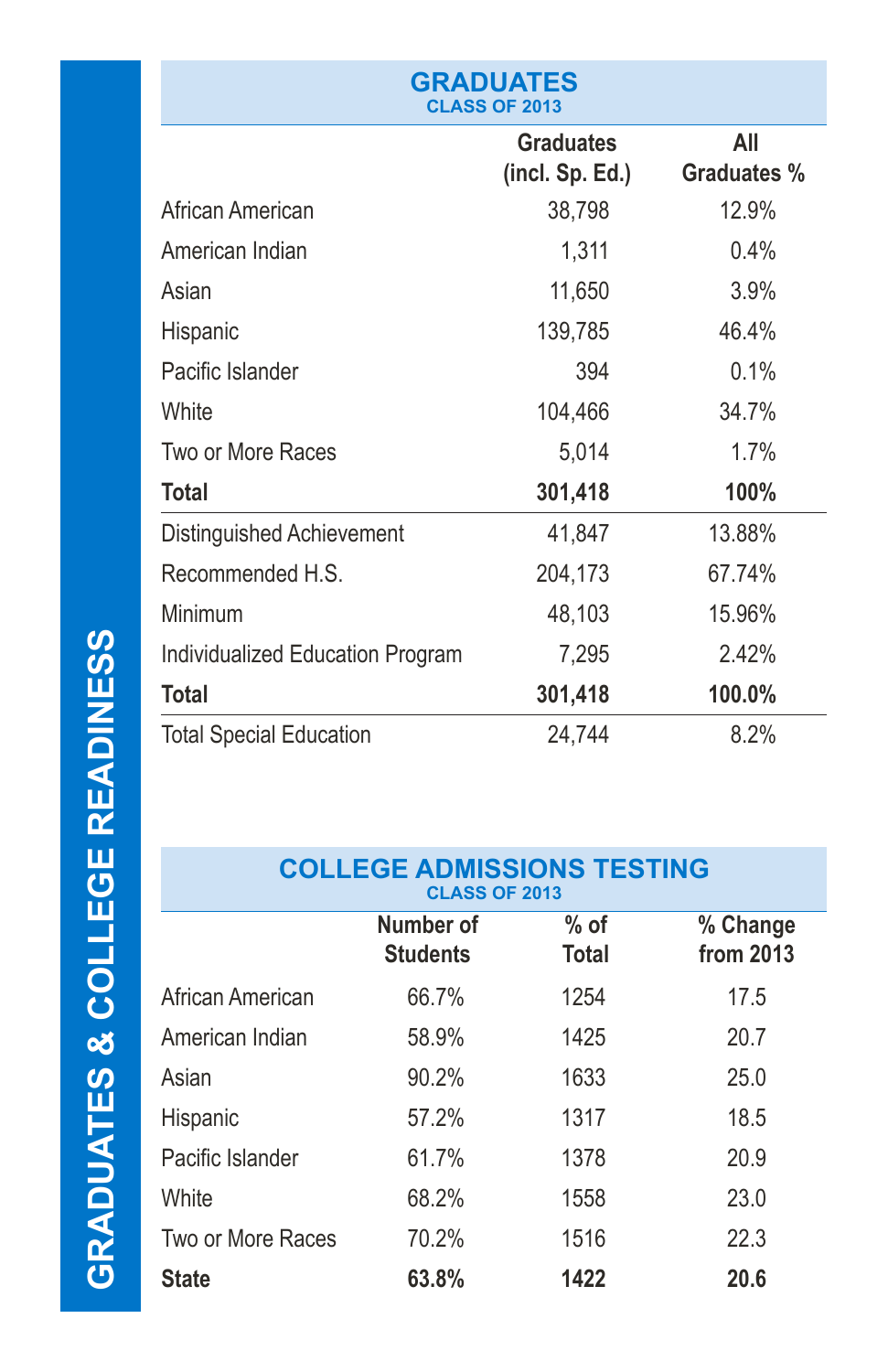| <b>GRADUATES</b><br><b>CLASS OF 2013</b> |                                     |                           |  |  |  |
|------------------------------------------|-------------------------------------|---------------------------|--|--|--|
|                                          | <b>Graduates</b><br>(incl. Sp. Ed.) | All<br><b>Graduates %</b> |  |  |  |
| African American                         | 38,798                              | 12.9%                     |  |  |  |
| American Indian                          | 1,311                               | 0.4%                      |  |  |  |
| Asian                                    | 11,650                              | 3.9%                      |  |  |  |
| Hispanic                                 | 139,785                             | 46.4%                     |  |  |  |
| Pacific Islander                         | 394                                 | 0.1%                      |  |  |  |
| White                                    | 104,466                             | 34.7%                     |  |  |  |
| Two or More Races                        | 5,014                               | 1.7%                      |  |  |  |
| <b>Total</b>                             | 301,418                             | 100%                      |  |  |  |
| Distinguished Achievement                | 41,847                              | 13.88%                    |  |  |  |
| Recommended H.S.                         | 204,173                             | 67.74%                    |  |  |  |
| Minimum                                  | 48,103                              | 15.96%                    |  |  |  |
| Individualized Education Program         | 7,295                               | 2.42%                     |  |  |  |
| <b>Total</b>                             | 301,418                             | 100.0%                    |  |  |  |
| <b>Total Special Education</b>           | 24,744                              | 8.2%                      |  |  |  |

#### **COLLEGE ADMISSIONS TESTING CLASS OF 2013**

|                   | Number of<br><b>Students</b> | $%$ of<br><b>Total</b> | % Change<br>from 2013 |
|-------------------|------------------------------|------------------------|-----------------------|
| African American  | 66.7%                        | 1254                   | 17.5                  |
| American Indian   | 58.9%                        | 1425                   | 20.7                  |
| Asian             | 90.2%                        | 1633                   | 25.0                  |
| <b>Hispanic</b>   | 57.2%                        | 1317                   | 18.5                  |
| Pacific Islander  | 61.7%                        | 1378                   | 20.9                  |
| White             | 68.2%                        | 1558                   | 23.0                  |
| Two or More Races | 70.2%                        | 1516                   | 22.3                  |
| <b>State</b>      | 63.8%                        | 1422                   | 20.6                  |